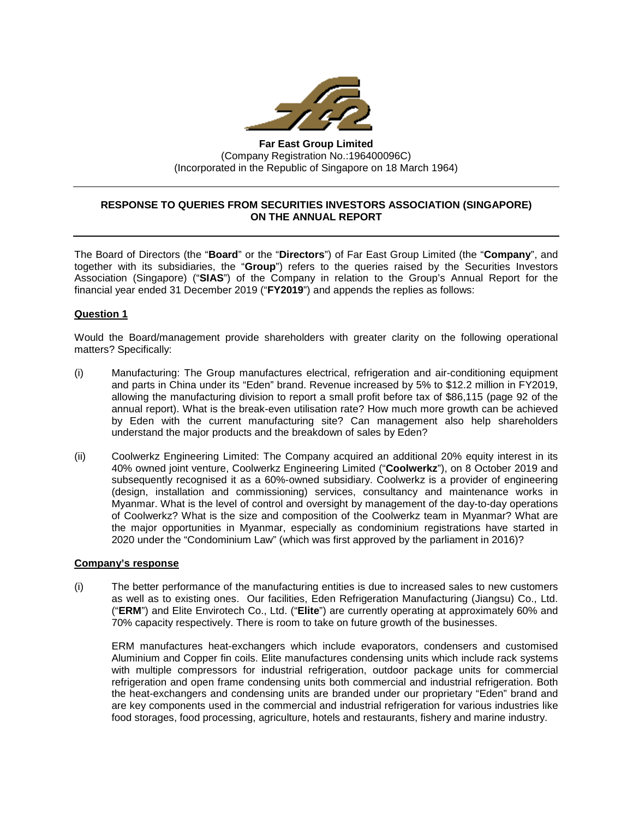

**Far East Group Limited** (Company Registration No.:196400096C) (Incorporated in the Republic of Singapore on 18 March 1964)

# **RESPONSE TO QUERIES FROM SECURITIES INVESTORS ASSOCIATION (SINGAPORE) ON THE ANNUAL REPORT**

The Board of Directors (the "**Board**" or the "**Directors**") of Far East Group Limited (the "**Company**", and together with its subsidiaries, the "**Group**") refers to the queries raised by the Securities Investors Association (Singapore) ("**SIAS**") of the Company in relation to the Group's Annual Report for the financial year ended 31 December 2019 ("**FY2019**") and appends the replies as follows:

# **Question 1**

Would the Board/management provide shareholders with greater clarity on the following operational matters? Specifically:

- (i) Manufacturing: The Group manufactures electrical, refrigeration and air-conditioning equipment and parts in China under its "Eden" brand. Revenue increased by 5% to \$12.2 million in FY2019, allowing the manufacturing division to report a small profit before tax of \$86,115 (page 92 of the annual report). What is the break-even utilisation rate? How much more growth can be achieved by Eden with the current manufacturing site? Can management also help shareholders understand the major products and the breakdown of sales by Eden?
- (ii) Coolwerkz Engineering Limited: The Company acquired an additional 20% equity interest in its 40% owned joint venture, Coolwerkz Engineering Limited ("**Coolwerkz**"), on 8 October 2019 and subsequently recognised it as a 60%-owned subsidiary. Coolwerkz is a provider of engineering (design, installation and commissioning) services, consultancy and maintenance works in Myanmar. What is the level of control and oversight by management of the day-to-day operations of Coolwerkz? What is the size and composition of the Coolwerkz team in Myanmar? What are the major opportunities in Myanmar, especially as condominium registrations have started in 2020 under the "Condominium Law" (which was first approved by the parliament in 2016)?

#### **Company's response**

(i) The better performance of the manufacturing entities is due to increased sales to new customers as well as to existing ones. Our facilities, Eden Refrigeration Manufacturing (Jiangsu) Co., Ltd. ("**ERM**") and Elite Envirotech Co., Ltd. ("**Elite**") are currently operating at approximately 60% and 70% capacity respectively. There is room to take on future growth of the businesses.

ERM manufactures heat-exchangers which include evaporators, condensers and customised Aluminium and Copper fin coils. Elite manufactures condensing units which include rack systems with multiple compressors for industrial refrigeration, outdoor package units for commercial refrigeration and open frame condensing units both commercial and industrial refrigeration. Both the heat-exchangers and condensing units are branded under our proprietary "Eden" brand and are key components used in the commercial and industrial refrigeration for various industries like food storages, food processing, agriculture, hotels and restaurants, fishery and marine industry.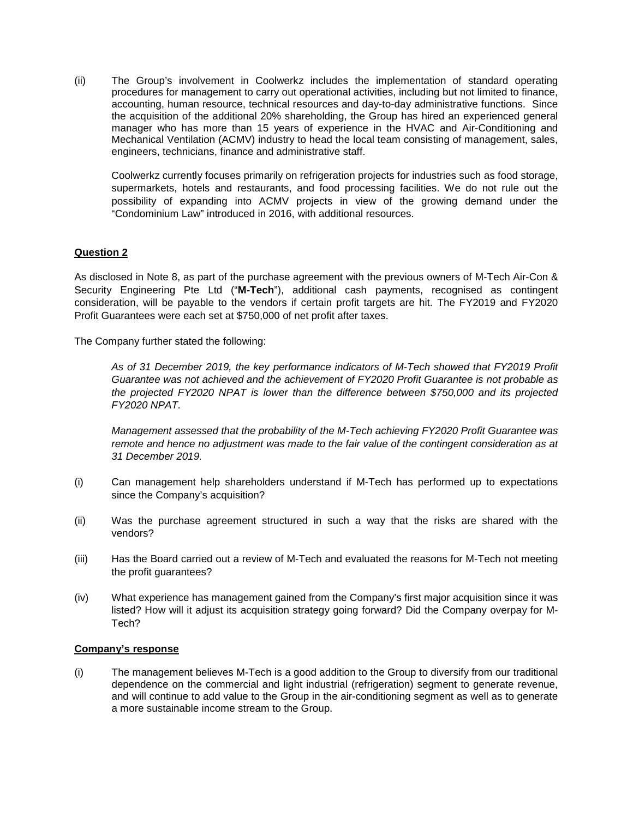(ii) The Group's involvement in Coolwerkz includes the implementation of standard operating procedures for management to carry out operational activities, including but not limited to finance, accounting, human resource, technical resources and day-to-day administrative functions. Since the acquisition of the additional 20% shareholding, the Group has hired an experienced general manager who has more than 15 years of experience in the HVAC and Air-Conditioning and Mechanical Ventilation (ACMV) industry to head the local team consisting of management, sales, engineers, technicians, finance and administrative staff.

Coolwerkz currently focuses primarily on refrigeration projects for industries such as food storage, supermarkets, hotels and restaurants, and food processing facilities. We do not rule out the possibility of expanding into ACMV projects in view of the growing demand under the "Condominium Law" introduced in 2016, with additional resources.

## **Question 2**

As disclosed in Note 8, as part of the purchase agreement with the previous owners of M-Tech Air-Con & Security Engineering Pte Ltd ("**M-Tech**"), additional cash payments, recognised as contingent consideration, will be payable to the vendors if certain profit targets are hit. The FY2019 and FY2020 Profit Guarantees were each set at \$750,000 of net profit after taxes.

The Company further stated the following:

*As of 31 December 2019, the key performance indicators of M-Tech showed that FY2019 Profit Guarantee was not achieved and the achievement of FY2020 Profit Guarantee is not probable as the projected FY2020 NPAT is lower than the difference between \$750,000 and its projected FY2020 NPAT.* 

*Management assessed that the probability of the M-Tech achieving FY2020 Profit Guarantee was remote and hence no adjustment was made to the fair value of the contingent consideration as at 31 December 2019.*

- (i) Can management help shareholders understand if M-Tech has performed up to expectations since the Company's acquisition?
- (ii) Was the purchase agreement structured in such a way that the risks are shared with the vendors?
- (iii) Has the Board carried out a review of M-Tech and evaluated the reasons for M-Tech not meeting the profit guarantees?
- (iv) What experience has management gained from the Company's first major acquisition since it was listed? How will it adjust its acquisition strategy going forward? Did the Company overpay for M-Tech?

#### **Company's response**

(i) The management believes M-Tech is a good addition to the Group to diversify from our traditional dependence on the commercial and light industrial (refrigeration) segment to generate revenue, and will continue to add value to the Group in the air-conditioning segment as well as to generate a more sustainable income stream to the Group.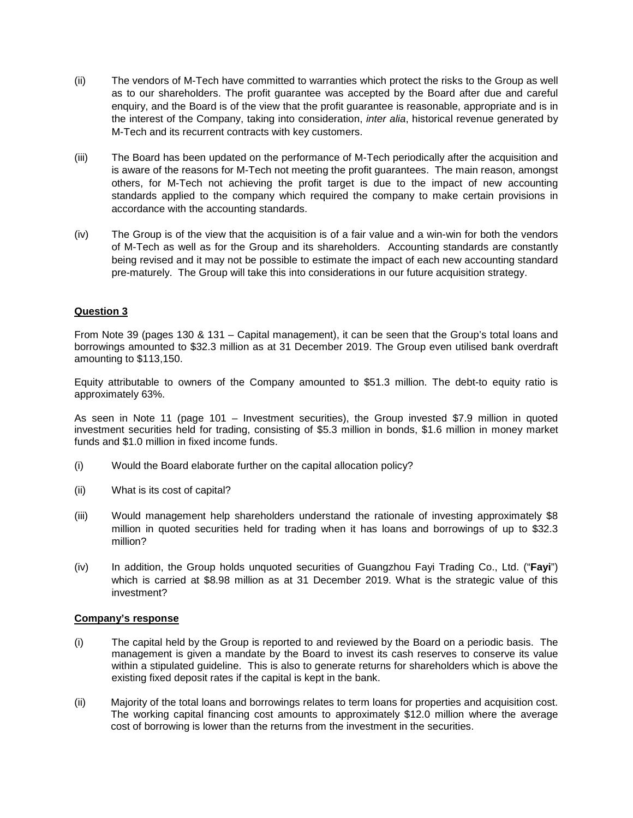- (ii) The vendors of M-Tech have committed to warranties which protect the risks to the Group as well as to our shareholders. The profit guarantee was accepted by the Board after due and careful enquiry, and the Board is of the view that the profit guarantee is reasonable, appropriate and is in the interest of the Company, taking into consideration, *inter alia*, historical revenue generated by M-Tech and its recurrent contracts with key customers.
- (iii) The Board has been updated on the performance of M-Tech periodically after the acquisition and is aware of the reasons for M-Tech not meeting the profit guarantees. The main reason, amongst others, for M-Tech not achieving the profit target is due to the impact of new accounting standards applied to the company which required the company to make certain provisions in accordance with the accounting standards.
- (iv) The Group is of the view that the acquisition is of a fair value and a win-win for both the vendors of M-Tech as well as for the Group and its shareholders. Accounting standards are constantly being revised and it may not be possible to estimate the impact of each new accounting standard pre-maturely. The Group will take this into considerations in our future acquisition strategy.

## **Question 3**

From Note 39 (pages 130 & 131 – Capital management), it can be seen that the Group's total loans and borrowings amounted to \$32.3 million as at 31 December 2019. The Group even utilised bank overdraft amounting to \$113,150.

Equity attributable to owners of the Company amounted to \$51.3 million. The debt-to equity ratio is approximately 63%.

As seen in Note 11 (page 101 – Investment securities), the Group invested \$7.9 million in quoted investment securities held for trading, consisting of \$5.3 million in bonds, \$1.6 million in money market funds and \$1.0 million in fixed income funds.

- (i) Would the Board elaborate further on the capital allocation policy?
- (ii) What is its cost of capital?
- (iii) Would management help shareholders understand the rationale of investing approximately \$8 million in quoted securities held for trading when it has loans and borrowings of up to \$32.3 million?
- (iv) In addition, the Group holds unquoted securities of Guangzhou Fayi Trading Co., Ltd. ("**Fayi**") which is carried at \$8.98 million as at 31 December 2019. What is the strategic value of this investment?

### **Company's response**

- (i) The capital held by the Group is reported to and reviewed by the Board on a periodic basis. The management is given a mandate by the Board to invest its cash reserves to conserve its value within a stipulated guideline. This is also to generate returns for shareholders which is above the existing fixed deposit rates if the capital is kept in the bank.
- (ii) Majority of the total loans and borrowings relates to term loans for properties and acquisition cost. The working capital financing cost amounts to approximately \$12.0 million where the average cost of borrowing is lower than the returns from the investment in the securities.